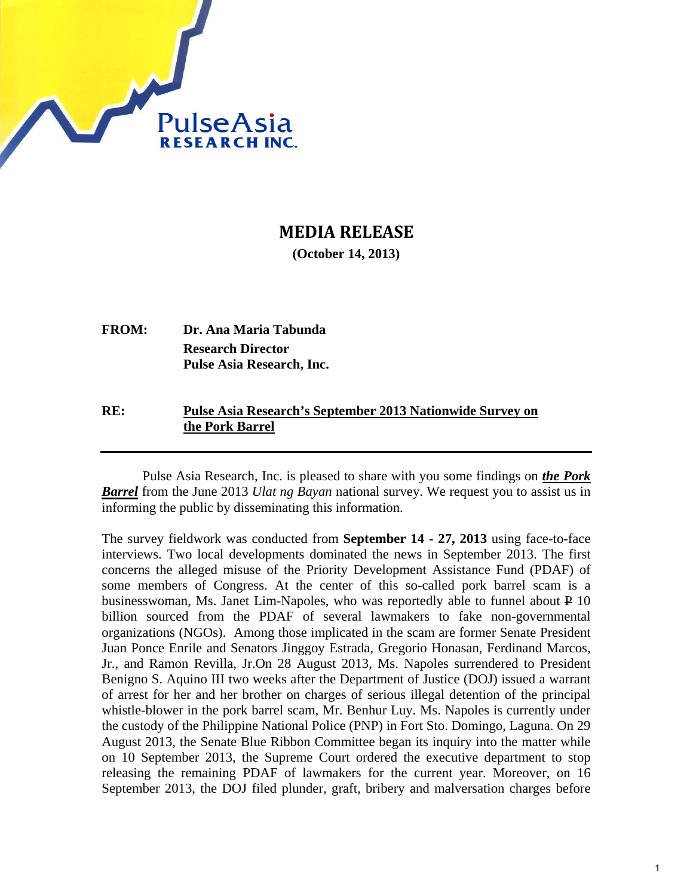

# **MEDIA RELEASE**

**(October 14, 2013)** 

**FROM: Dr. Ana Maria Tabunda Research Director Pulse Asia Research, Inc.** 

### **RE: Pulse Asia Research's September 2013 Nationwide Survey on the Pork Barrel**

Pulse Asia Research, Inc. is pleased to share with you some findings on *the Pork Barrel* from the June 2013 *Ulat ng Bayan* national survey. We request you to assist us in informing the public by disseminating this information.

The survey fieldwork was conducted from **September 14 - 27, 2013** using face-to-face interviews. Two local developments dominated the news in September 2013. The first concerns the alleged misuse of the Priority Development Assistance Fund (PDAF) of some members of Congress. At the center of this so-called pork barrel scam is a businesswoman, Ms. Janet Lim-Napoles, who was reportedly able to funnel about P 10 billion sourced from the PDAF of several lawmakers to fake non-governmental organizations (NGOs). Among those implicated in the scam are former Senate President Juan Ponce Enrile and Senators Jinggoy Estrada, Gregorio Honasan, Ferdinand Marcos, Jr., and Ramon Revilla, Jr.On 28 August 2013, Ms. Napoles surrendered to President Benigno S. Aquino III two weeks after the Department of Justice (DOJ) issued a warrant of arrest for her and her brother on charges of serious illegal detention of the principal whistle-blower in the pork barrel scam, Mr. Benhur Luy. Ms. Napoles is currently under the custody of the Philippine National Police (PNP) in Fort Sto. Domingo, Laguna. On 29 August 2013, the Senate Blue Ribbon Committee began its inquiry into the matter while on 10 September 2013, the Supreme Court ordered the executive department to stop releasing the remaining PDAF of lawmakers for the current year. Moreover, on 16 September 2013, the DOJ filed plunder, graft, bribery and malversation charges before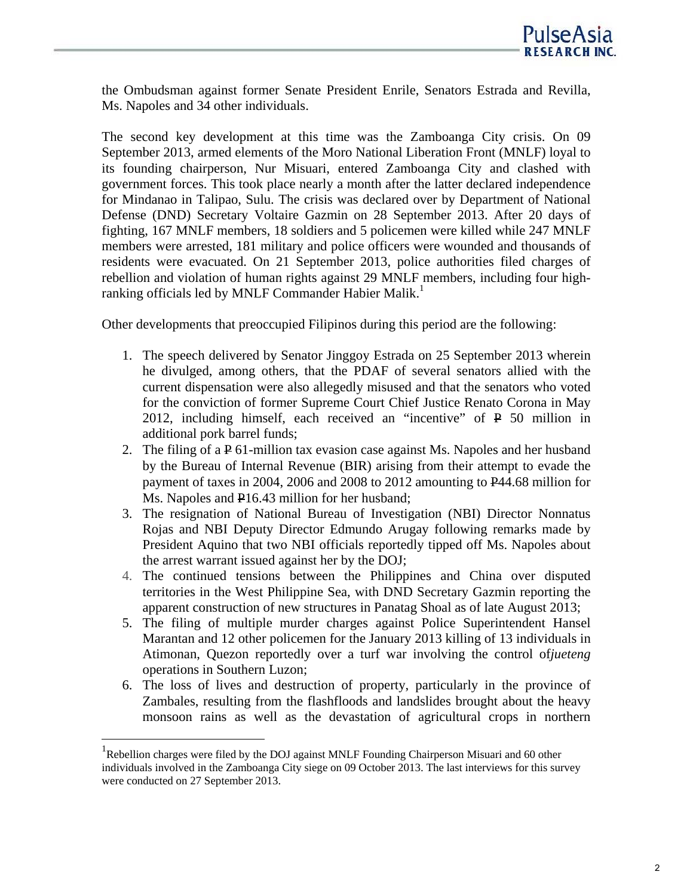the Ombudsman against former Senate President Enrile, Senators Estrada and Revilla, Ms. Napoles and 34 other individuals.

The second key development at this time was the Zamboanga City crisis. On 09 September 2013, armed elements of the Moro National Liberation Front (MNLF) loyal to its founding chairperson, Nur Misuari, entered Zamboanga City and clashed with government forces. This took place nearly a month after the latter declared independence for Mindanao in Talipao, Sulu. The crisis was declared over by Department of National Defense (DND) Secretary Voltaire Gazmin on 28 September 2013. After 20 days of fighting, 167 MNLF members, 18 soldiers and 5 policemen were killed while 247 MNLF members were arrested, 181 military and police officers were wounded and thousands of residents were evacuated. On 21 September 2013, police authorities filed charges of rebellion and violation of human rights against 29 MNLF members, including four highranking officials led by MNLF Commander Habier Malik.<sup>1</sup>

Other developments that preoccupied Filipinos during this period are the following:

- 1. The speech delivered by Senator Jinggoy Estrada on 25 September 2013 wherein he divulged, among others, that the PDAF of several senators allied with the current dispensation were also allegedly misused and that the senators who voted for the conviction of former Supreme Court Chief Justice Renato Corona in May 2012, including himself, each received an "incentive" of P 50 million in additional pork barrel funds;
- 2. The filing of a P 61-million tax evasion case against Ms. Napoles and her husband by the Bureau of Internal Revenue (BIR) arising from their attempt to evade the payment of taxes in 2004, 2006 and 2008 to 2012 amounting to P44.68 million for Ms. Napoles and P16.43 million for her husband;
- 3. The resignation of National Bureau of Investigation (NBI) Director Nonnatus Rojas and NBI Deputy Director Edmundo Arugay following remarks made by President Aquino that two NBI officials reportedly tipped off Ms. Napoles about the arrest warrant issued against her by the DOJ;
- 4. The continued tensions between the Philippines and China over disputed territories in the West Philippine Sea, with DND Secretary Gazmin reporting the apparent construction of new structures in Panatag Shoal as of late August 2013;
- 5. The filing of multiple murder charges against Police Superintendent Hansel Marantan and 12 other policemen for the January 2013 killing of 13 individuals in Atimonan, Quezon reportedly over a turf war involving the control of*jueteng* operations in Southern Luzon;
- 6. The loss of lives and destruction of property, particularly in the province of Zambales, resulting from the flashfloods and landslides brought about the heavy monsoon rains as well as the devastation of agricultural crops in northern

 $\overline{a}$ 

<sup>&</sup>lt;sup>1</sup>Rebellion charges were filed by the DOJ against MNLF Founding Chairperson Misuari and 60 other individuals involved in the Zamboanga City siege on 09 October 2013. The last interviews for this survey were conducted on 27 September 2013.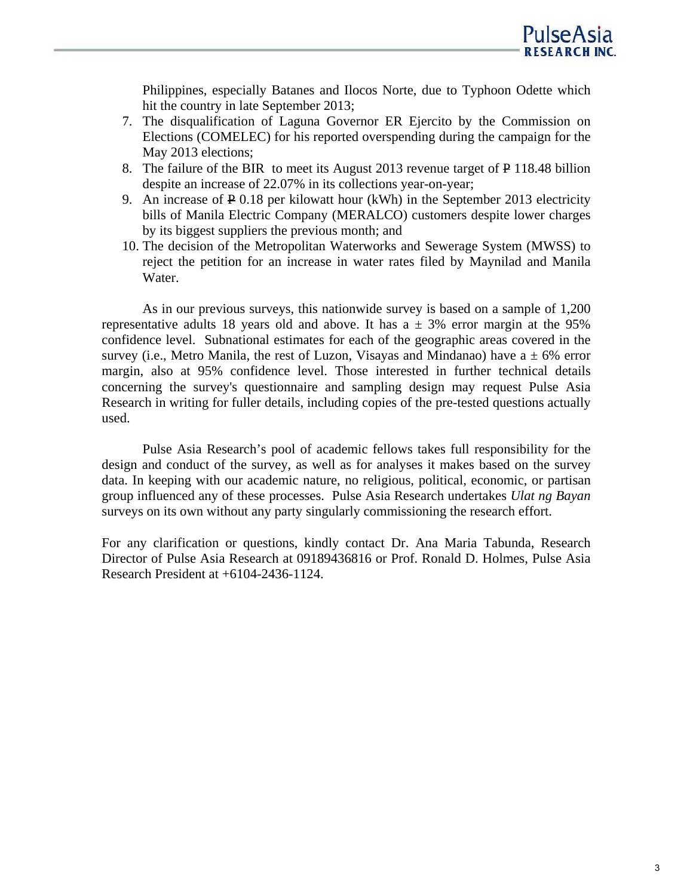Philippines, especially Batanes and Ilocos Norte, due to Typhoon Odette which hit the country in late September 2013;

- 7. The disqualification of Laguna Governor ER Ejercito by the Commission on Elections (COMELEC) for his reported overspending during the campaign for the May 2013 elections;
- 8. The failure of the BIR to meet its August 2013 revenue target of P 118.48 billion despite an increase of 22.07% in its collections year-on-year;
- 9. An increase of P 0.18 per kilowatt hour (kWh) in the September 2013 electricity bills of Manila Electric Company (MERALCO) customers despite lower charges by its biggest suppliers the previous month; and
- 10. The decision of the Metropolitan Waterworks and Sewerage System (MWSS) to reject the petition for an increase in water rates filed by Maynilad and Manila Water.

As in our previous surveys, this nationwide survey is based on a sample of 1,200 representative adults 18 years old and above. It has  $a \pm 3$ % error margin at the 95% confidence level. Subnational estimates for each of the geographic areas covered in the survey (i.e., Metro Manila, the rest of Luzon, Visayas and Mindanao) have  $a \pm 6\%$  error margin, also at 95% confidence level. Those interested in further technical details concerning the survey's questionnaire and sampling design may request Pulse Asia Research in writing for fuller details, including copies of the pre-tested questions actually used.

Pulse Asia Research's pool of academic fellows takes full responsibility for the design and conduct of the survey, as well as for analyses it makes based on the survey data. In keeping with our academic nature, no religious, political, economic, or partisan group influenced any of these processes. Pulse Asia Research undertakes *Ulat ng Bayan* surveys on its own without any party singularly commissioning the research effort.

For any clarification or questions, kindly contact Dr. Ana Maria Tabunda, Research Director of Pulse Asia Research at 09189436816 or Prof. Ronald D. Holmes, Pulse Asia Research President at +6104-2436-1124.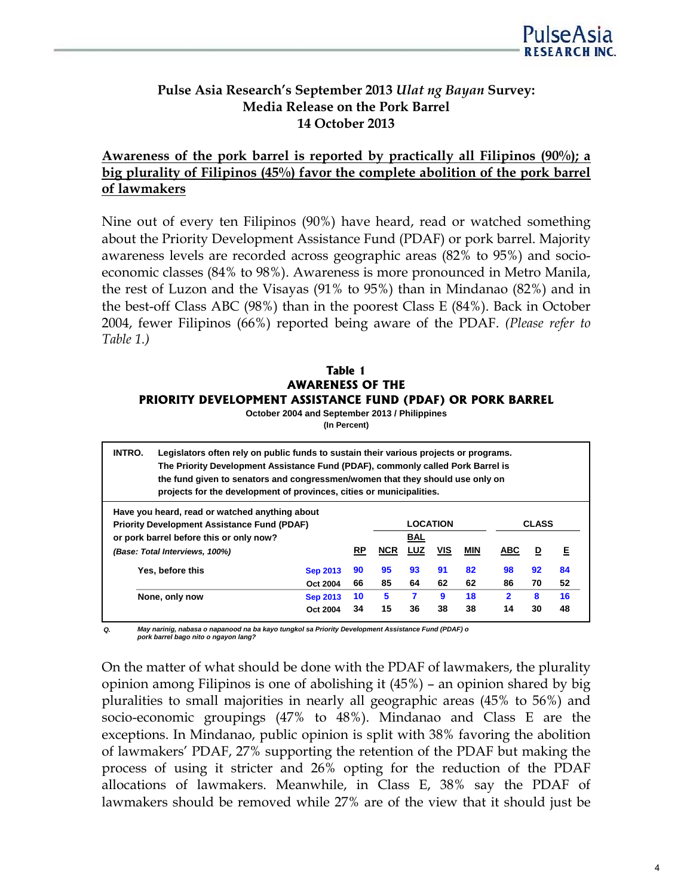## **Pulse Asia Research's September 2013** *Ulat ng Bayan* **Survey: Media Release on the Pork Barrel 14 October 2013**

# **Awareness of the pork barrel is reported by practically all Filipinos (90%); a big plurality of Filipinos (45%) favor the complete abolition of the pork barrel of lawmakers**

Nine out of every ten Filipinos (90%) have heard, read or watched something about the Priority Development Assistance Fund (PDAF) or pork barrel. Majority awareness levels are recorded across geographic areas (82% to 95%) and socioeconomic classes (84% to 98%). Awareness is more pronounced in Metro Manila, the rest of Luzon and the Visayas (91% to 95%) than in Mindanao (82%) and in the best-off Class ABC (98%) than in the poorest Class E (84%). Back in October 2004, fewer Filipinos (66%) reported being aware of the PDAF. *(Please refer to Table 1.)* 

#### **Table 1 AWARENESS OF THE PRIORITY DEVELOPMENT ASSISTANCE FUND (PDAF) OR PORK BARREL**

**October 2004 and September 2013 / Philippines (In Percent)**

| INTRO. | Legislators often rely on public funds to sustain their various projects or programs.<br>The Priority Development Assistance Fund (PDAF), commonly called Pork Barrel is<br>the fund given to senators and congressmen/women that they should use only on<br>projects for the development of provinces, cities or municipalities. |                 |    |            |                 |            |                |            |              |    |  |
|--------|-----------------------------------------------------------------------------------------------------------------------------------------------------------------------------------------------------------------------------------------------------------------------------------------------------------------------------------|-----------------|----|------------|-----------------|------------|----------------|------------|--------------|----|--|
|        | Have you heard, read or watched anything about                                                                                                                                                                                                                                                                                    |                 |    |            |                 |            |                |            |              |    |  |
|        | <b>Priority Development Assistance Fund (PDAF)</b>                                                                                                                                                                                                                                                                                |                 |    |            | <b>LOCATION</b> |            |                |            | <b>CLASS</b> |    |  |
|        | or pork barrel before this or only now?                                                                                                                                                                                                                                                                                           |                 |    | <b>BAL</b> |                 |            |                |            |              |    |  |
|        | (Base: Total Interviews, 100%)                                                                                                                                                                                                                                                                                                    |                 |    | <b>NCR</b> | LUZ             | <u>VIS</u> | <b>MIN</b>     | <b>ABC</b> | <u>D</u>     | E  |  |
|        | Yes, before this                                                                                                                                                                                                                                                                                                                  | <b>Sep 2013</b> | 90 | 95         | 93              | 91         | 82             | 98         | 92           | 84 |  |
|        |                                                                                                                                                                                                                                                                                                                                   | 66              | 85 | 64         | 62              | 62         | 86             | 70         | 52           |    |  |
|        | None, only now                                                                                                                                                                                                                                                                                                                    | 10              | 5  | 7          | 9               | 18         | $\overline{2}$ | 8          | 16           |    |  |
|        |                                                                                                                                                                                                                                                                                                                                   | Oct 2004        | 34 | 15         | 36              | 38         | 38             | 14         | 30           | 48 |  |

*Q. May narinig, nabasa o napanood na ba kayo tungkol sa Priority Development Assistance Fund (PDAF) o pork barrel bago nito o ngayon lang?*

On the matter of what should be done with the PDAF of lawmakers, the plurality opinion among Filipinos is one of abolishing it (45%) – an opinion shared by big pluralities to small majorities in nearly all geographic areas (45% to 56%) and socio-economic groupings (47% to 48%). Mindanao and Class E are the exceptions. In Mindanao, public opinion is split with 38% favoring the abolition of lawmakers' PDAF, 27% supporting the retention of the PDAF but making the process of using it stricter and 26% opting for the reduction of the PDAF allocations of lawmakers. Meanwhile, in Class E, 38% say the PDAF of lawmakers should be removed while 27% are of the view that it should just be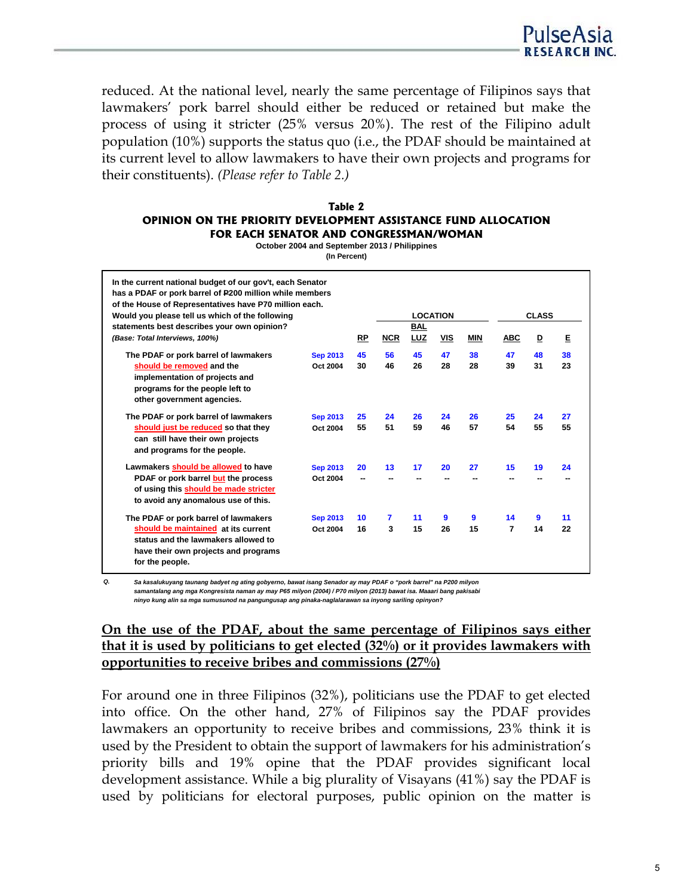reduced. At the national level, nearly the same percentage of Filipinos says that lawmakers' pork barrel should either be reduced or retained but make the process of using it stricter (25% versus 20%). The rest of the Filipino adult population (10%) supports the status quo (i.e., the PDAF should be maintained at its current level to allow lawmakers to have their own projects and programs for their constituents). *(Please refer to Table 2.)* 

#### **Table 2 OPINION ON THE PRIORITY DEVELOPMENT ASSISTANCE FUND ALLOCATION FOR EACH SENATOR AND CONGRESSMAN/WOMAN**

|                                                                                                                      | October 2004 and September 2013 / Philippines<br>(In Percent) |    |            |            |                 |     |                |              |    |  |  |
|----------------------------------------------------------------------------------------------------------------------|---------------------------------------------------------------|----|------------|------------|-----------------|-----|----------------|--------------|----|--|--|
| In the current national budget of our gov't, each Senator<br>has a PDAF or pork barrel of P200 million while members |                                                               |    |            |            |                 |     |                |              |    |  |  |
| of the House of Representatives have P70 million each.                                                               |                                                               |    |            |            |                 |     |                |              |    |  |  |
| Would you please tell us which of the following                                                                      |                                                               |    |            |            | <b>LOCATION</b> |     |                | <b>CLASS</b> |    |  |  |
| statements best describes your own opinion?                                                                          |                                                               |    |            | <b>BAL</b> |                 |     |                |              |    |  |  |
| (Base: Total Interviews, 100%)                                                                                       |                                                               | RP | <b>NCR</b> | <b>LUZ</b> | <b>VIS</b>      | MIN | <b>ABC</b>     | D            | Е  |  |  |
| The PDAF or pork barrel of lawmakers                                                                                 | <b>Sep 2013</b>                                               | 45 | 56         | 45         | 47              | 38  | 47             | 48           | 38 |  |  |
| should be removed and the                                                                                            | Oct 2004                                                      | 30 | 46         | 26         | 28              | 28  | 39             | 31           | 23 |  |  |
| implementation of projects and                                                                                       |                                                               |    |            |            |                 |     |                |              |    |  |  |
| programs for the people left to                                                                                      |                                                               |    |            |            |                 |     |                |              |    |  |  |
| other government agencies.                                                                                           |                                                               |    |            |            |                 |     |                |              |    |  |  |
| The PDAF or pork barrel of lawmakers                                                                                 | <b>Sep 2013</b>                                               | 25 | 24         | 26         | 24              | 26  | 25             | 24           | 27 |  |  |
| should just be reduced so that they                                                                                  | Oct 2004                                                      | 55 | 51         | 59         | 46              | 57  | 54             | 55           | 55 |  |  |
| can still have their own projects                                                                                    |                                                               |    |            |            |                 |     |                |              |    |  |  |
| and programs for the people.                                                                                         |                                                               |    |            |            |                 |     |                |              |    |  |  |
| Lawmakers should be allowed to have                                                                                  | <b>Sep 2013</b>                                               | 20 | 13         | 17         | 20              | 27  | 15             | 19           | 24 |  |  |
| PDAF or pork barrel but the process                                                                                  | Oct 2004                                                      |    |            |            |                 |     |                |              |    |  |  |
| of using this should be made stricter                                                                                |                                                               |    |            |            |                 |     |                |              |    |  |  |
| to avoid any anomalous use of this.                                                                                  |                                                               |    |            |            |                 |     |                |              |    |  |  |
| The PDAF or pork barrel of lawmakers                                                                                 | <b>Sep 2013</b>                                               | 10 | 7          | 11         | 9               | 9   | 14             | 9            | 11 |  |  |
| should be maintained at its current                                                                                  | Oct 2004                                                      | 16 | 3          | 15         | 26              | 15  | $\overline{7}$ | 14           | 22 |  |  |
| status and the lawmakers allowed to                                                                                  |                                                               |    |            |            |                 |     |                |              |    |  |  |
| have their own projects and programs                                                                                 |                                                               |    |            |            |                 |     |                |              |    |  |  |
| for the people.                                                                                                      |                                                               |    |            |            |                 |     |                |              |    |  |  |

*Q. Sa kasalukuyang taunang badyet ng ating gobyerno, bawat isang Senador ay may PDAF o "pork barrel" na P200 milyon samantalang ang mga Kongresista naman ay may P65 milyon (2004) / P70 milyon (2013) bawat isa. Maaari bang pakisabi ninyo kung alin sa mga sumusunod na pangungusap ang pinaka-naglalarawan sa inyong sariling opinyon?*

### **On the use of the PDAF, about the same percentage of Filipinos says either that it is used by politicians to get elected (32%) or it provides lawmakers with opportunities to receive bribes and commissions (27%)**

For around one in three Filipinos (32%), politicians use the PDAF to get elected into office. On the other hand, 27% of Filipinos say the PDAF provides lawmakers an opportunity to receive bribes and commissions, 23% think it is used by the President to obtain the support of lawmakers for his administration's priority bills and 19% opine that the PDAF provides significant local development assistance. While a big plurality of Visayans (41%) say the PDAF is used by politicians for electoral purposes, public opinion on the matter is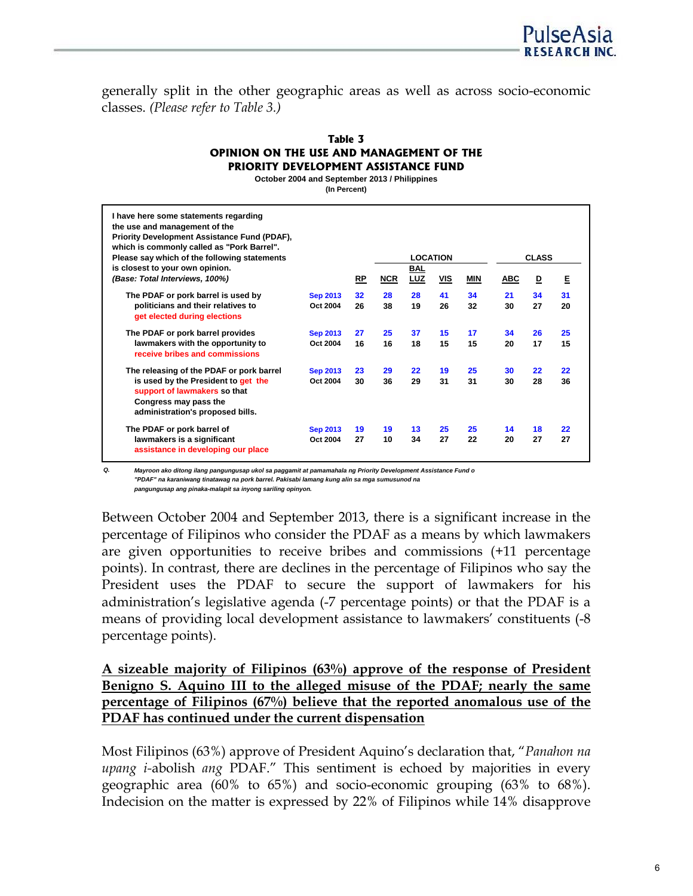generally split in the other geographic areas as well as across socio-economic classes. *(Please refer to Table 3.)* 

| Table 3                                         |
|-------------------------------------------------|
| <b>OPINION ON THE USE AND MANAGEMENT OF THE</b> |
| <b>PRIORITY DEVELOPMENT ASSISTANCE FUND</b>     |
|                                                 |

| October 2004 and September 2013 / Philippines<br>(In Percent)                                                                                                                                                                                           |                 |    |            |            |                 |     |            |              |    |  |
|---------------------------------------------------------------------------------------------------------------------------------------------------------------------------------------------------------------------------------------------------------|-----------------|----|------------|------------|-----------------|-----|------------|--------------|----|--|
| I have here some statements regarding<br>the use and management of the<br>Priority Development Assistance Fund (PDAF),<br>which is commonly called as "Pork Barrel".<br>Please say which of the following statements<br>is closest to your own opinion. |                 |    |            | <b>BAL</b> | <b>LOCATION</b> |     |            | <b>CLASS</b> |    |  |
| (Base: Total Interviews, 100%)                                                                                                                                                                                                                          |                 | RP | <b>NCR</b> | LUZ        | <u>VIS</u>      | MIN | <b>ABC</b> | D            | E  |  |
| The PDAF or pork barrel is used by                                                                                                                                                                                                                      | <b>Sep 2013</b> | 32 | 28         | 28         | 41              | 34  | 21         | 34           | 31 |  |
| politicians and their relatives to<br>get elected during elections                                                                                                                                                                                      | Oct 2004        | 26 | 38         | 19         | 26              | 32  | 30         | 27           | 20 |  |
| The PDAF or pork barrel provides                                                                                                                                                                                                                        | <b>Sep 2013</b> | 27 | 25         | 37         | 15              | 17  | 34         | 26           | 25 |  |
| lawmakers with the opportunity to<br>receive bribes and commissions                                                                                                                                                                                     | Oct 2004        | 16 | 16         | 18         | 15              | 15  | 20         | 17           | 15 |  |
| The releasing of the PDAF or pork barrel                                                                                                                                                                                                                | <b>Sep 2013</b> | 23 | 29         | 22         | 19              | 25  | 30         | 22           | 22 |  |
| is used by the President to get the<br>support of lawmakers so that<br>Congress may pass the<br>administration's proposed bills.                                                                                                                        | Oct 2004        | 30 | 36         | 29         | 31              | 31  | 30         | 28           | 36 |  |
| The PDAF or pork barrel of                                                                                                                                                                                                                              | <b>Sep 2013</b> | 19 | 19         | 13         | 25              | 25  | 14         | 18           | 22 |  |
| lawmakers is a significant<br>assistance in developing our place                                                                                                                                                                                        | Oct 2004        | 27 | 10         | 34         | 27              | 22  | 20         | 27           | 27 |  |

*Q. Mayroon ako ditong ilang pangungusap ukol sa paggamit at pamamahala ng Priority Development Assistance Fund o "PDAF" na karaniwang tinatawag na pork barrel. Pakisabi lamang kung alin sa mga sumusunod na pangungusap ang pinaka-malapit sa inyong sariling opinyon.*

Between October 2004 and September 2013, there is a significant increase in the percentage of Filipinos who consider the PDAF as a means by which lawmakers are given opportunities to receive bribes and commissions (+11 percentage points). In contrast, there are declines in the percentage of Filipinos who say the President uses the PDAF to secure the support of lawmakers for his administration's legislative agenda (-7 percentage points) or that the PDAF is a means of providing local development assistance to lawmakers' constituents (-8 percentage points).

## **A sizeable majority of Filipinos (63%) approve of the response of President Benigno S. Aquino III to the alleged misuse of the PDAF; nearly the same percentage of Filipinos (67%) believe that the reported anomalous use of the PDAF has continued under the current dispensation**

Most Filipinos (63%) approve of President Aquino's declaration that, "*Panahon na upang i-*abolish *ang* PDAF." This sentiment is echoed by majorities in every geographic area (60% to 65%) and socio-economic grouping (63% to 68%). Indecision on the matter is expressed by 22% of Filipinos while 14% disapprove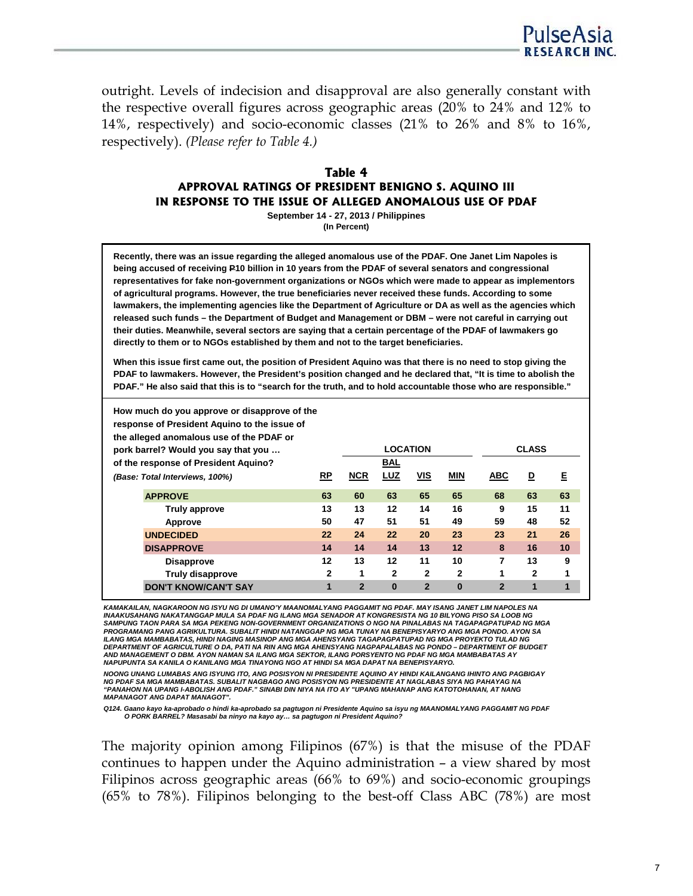outright. Levels of indecision and disapproval are also generally constant with the respective overall figures across geographic areas (20% to 24% and 12% to 14%, respectively) and socio-economic classes (21% to 26% and 8% to 16%, respectively). *(Please refer to Table 4.)* 

### **Table 4 APPROVAL RATINGS OF PRESIDENT BENIGNO S. AQUINO III IN RESPONSE TO THE ISSUE OF ALLEGED ANOMALOUS USE OF PDAF**

**September 14 - 27, 2013 / Philippines**

**(In Percent)**

**Recently, there was an issue regarding the alleged anomalous use of the PDAF. One Janet Lim Napoles is being accused of receiving P10 billion in 10 years from the PDAF of several senators and congressional representatives for fake non-government organizations or NGOs which were made to appear as implementors of agricultural programs. However, the true beneficiaries never received these funds. According to some lawmakers, the implementing agencies like the Department of Agriculture or DA as well as the agencies which released such funds – the Department of Budget and Management or DBM – were not careful in carrying out their duties. Meanwhile, several sectors are saying that a certain percentage of the PDAF of lawmakers go directly to them or to NGOs established by them and not to the target beneficiaries.**

**When this issue first came out, the position of President Aquino was that there is no need to stop giving the PDAF to lawmakers. However, the President's position changed and he declared that, "It is time to abolish the PDAF." He also said that this is to "search for the truth, and to hold accountable those who are responsible."**

|                                | How much do you approve or disapprove of the<br>response of President Aquino to the issue of<br>the alleged anomalous use of the PDAF or<br>pork barrel? Would you say that you |              |              | <b>LOCATION</b> |                |              |                | <b>CLASS</b> |    |
|--------------------------------|---------------------------------------------------------------------------------------------------------------------------------------------------------------------------------|--------------|--------------|-----------------|----------------|--------------|----------------|--------------|----|
|                                | of the response of President Aquino?                                                                                                                                            |              |              | <b>BAL</b>      |                |              |                |              |    |
| (Base: Total Interviews, 100%) |                                                                                                                                                                                 | RP           | <b>NCR</b>   | <b>LUZ</b>      | <b>VIS</b>     | MIN          | <b>ABC</b>     | D            | E  |
|                                | <b>APPROVE</b>                                                                                                                                                                  | 63           | 60           | 63              | 65             | 65           | 68             | 63           | 63 |
|                                | <b>Truly approve</b>                                                                                                                                                            | 13           | 13           | $12 \,$         | 14             | 16           | 9              | 15           | 11 |
|                                | Approve                                                                                                                                                                         | 50           | 47           | 51              | 51             | 49           | 59             | 48           | 52 |
|                                | <b>UNDECIDED</b>                                                                                                                                                                | 22           | 24           | 22              | 20             | 23           | 23             | 21           | 26 |
|                                | <b>DISAPPROVE</b>                                                                                                                                                               | 14           | 14           | 14              | 13             | 12           | 8              | 16           | 10 |
|                                | <b>Disapprove</b>                                                                                                                                                               | 12           | 13           | 12              | 11             | 10           | 7              | 13           | 9  |
|                                | <b>Truly disapprove</b>                                                                                                                                                         | $\mathbf{2}$ | 1            | $\mathbf{2}$    | $\mathbf{2}$   | $\mathbf{2}$ | 1              | 2            | 1  |
|                                | <b>DON'T KNOW/CAN'T SAY</b>                                                                                                                                                     | 1            | $\mathbf{2}$ | $\bf{0}$        | $\overline{2}$ | $\bf{0}$     | $\overline{2}$ | 1            | 1  |

*KAMAKAILAN, NAGKAROON NG ISYU NG DI UMANO'Y MAANOMALYANG PAGGAMIT NG PDAF. MAY ISANG JANET LIM NAPOLES NA INAAKUSAHANG NAKATANGGAP MULA SA PDAF NG ILANG MGA SENADOR AT KONGRESISTA NG 10 BILYONG PISO SA LOOB NG*  SAMPUNG TAON PARA SA MGA PEKENG NON-GOVERNMENT ORGANIZATIONS O NGO NA PINALABAS NA TAGAPAGPATUPAD NG MGA<br>PROGRAMANG PANG AGRIKULTURA. SUBALIT HINDI NATANGGAP NG MGA TUNAY NA BENEPISYARYO ANG MGA PONDO. AYON SA *ILANG MGA MAMBABATAS, HINDI NAGING MASINOP ANG MGA AHENSYANG TAGAPAGPATUPAD NG MGA PROYEKTO TULAD NG DEPARTMENT OF AGRICULTURE O DA, PATI NA RIN ANG MGA AHENSYANG NAGPAPALABAS NG PONDO – DEPARTMENT OF BUDGET AND MANAGEMENT O DBM. AYON NAMAN SA ILANG MGA SEKTOR, ILANG PORSYENTO NG PDAF NG MGA MAMBABATAS AY NAPUPUNTA SA KANILA O KANILANG MGA TINAYONG NGO AT HINDI SA MGA DAPAT NA BENEPISYARYO.*

*NOONG UNANG LUMABAS ANG ISYUNG ITO, ANG POSISYON NI PRESIDENTE AQUINO AY HINDI KAILANGANG IHINTO ANG PAGBIGAY NG PDAF SA MGA MAMBABATAS. SUBALIT NAGBAGO ANG POSISYON NG PRESIDENTE AT NAGLABAS SIYA NG PAHAYAG NA "PANAHON NA UPANG I-ABOLISH ANG PDAF." SINABI DIN NIYA NA ITO AY "UPANG MAHANAP ANG KATOTOHANAN, AT NANG MAPANAGOT ANG DAPAT MANAGOT".*

*Q124. Gaano kayo ka-aprobado o hindi ka-aprobado sa pagtugon ni Presidente Aquino sa isyu ng MAANOMALYANG PAGGAMIT NG PDAF O PORK BARREL? Masasabi ba ninyo na kayo ay… sa pagtugon ni President Aquino?*

The majority opinion among Filipinos (67%) is that the misuse of the PDAF continues to happen under the Aquino administration – a view shared by most Filipinos across geographic areas (66% to 69%) and socio-economic groupings (65% to 78%). Filipinos belonging to the best-off Class ABC (78%) are most